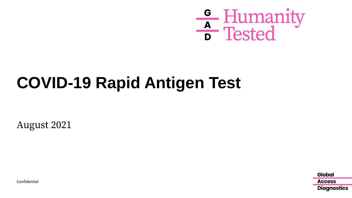

# **COVID-19 Rapid Antigen Test**

August 2021

**Global Access Diagnostics** 

Confidential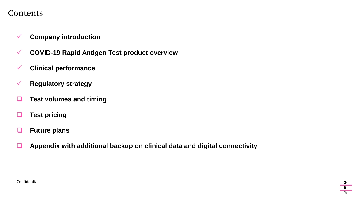#### **Contents**

- ✓ **Company introduction**
- ✓ **COVID-19 Rapid Antigen Test product overview**
- ✓ **Clinical performance**
- ✓ **Regulatory strategy**
- ❑ **Test volumes and timing**
- ❑ **Test pricing**
- ❑ **Future plans**
- ❑ **Appendix with additional backup on clinical data and digital connectivity**

G A D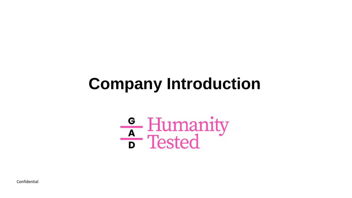# **Company Introduction**

# $\frac{c}{\sqrt{2}}$  Humanity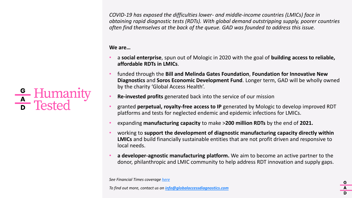*COVID-19 has exposed the difficulties lower- and middle-income countries (LMICs) face in obtaining rapid diagnostic tests (RDTs). With global demand outstripping supply, poorer countries often find themselves at the back of the queue. GAD was founded to address this issue.*

#### **We are…**

 $\frac{c}{\Delta}$  Humanity

- a **social enterprise**, spun out of Mologic in 2020 with the goal of **building access to reliable, affordable RDTs in LMICs**.
- funded through the **Bill and Melinda Gates Foundation**, **Foundation for Innovative New Diagnostics** and **Soros Economic Development Fund**. Longer term, GAD will be wholly owned by the charity 'Global Access Health'.
- **Re-invested profits** generated back into the service of our mission
- granted **perpetual, royalty-free access to IP** generated by Mologic to develop improved RDT platforms and tests for neglected endemic and epidemic infections for LMICs.
- expanding **manufacturing capacity** to make >**200 million RDTs** by the end of **2021.**
- working to **support the development of diagnostic manufacturing capacity directly within LMICs** and build financially sustainable entities that are not profit driven and responsive to local needs.
- **a developer-agnostic manufacturing platform.** We aim to become an active partner to the donor, philanthropic and LMIC community to help address RDT innovation and supply gaps.

*See Financial Times coverage [here](https://www.ft.com/content/6cec5334-265b-4de7-b176-9d854cce4d86)*

*To find out more, contact us on info@globalaccessdiagnostics.com*

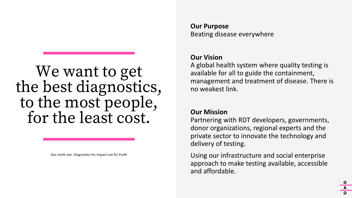#### We want to get the best diagnostics, to the most people, for the least cost.

Our north star. Diagnostics for Impact not for Profit

#### **Our Purpose** Beating disease everywhere

#### **Our Vision**

A global health system where quality testing is available for all to guide the containment, management and treatment of disease. There is no weakest link.

#### **Our Mission**

Partnering with RDT developers, governments, donor organizations, regional experts and the private sector to innovate the technology and delivery of testing.

Using our infrastructure and social enterprise approach to make testing available, accessible and affordable.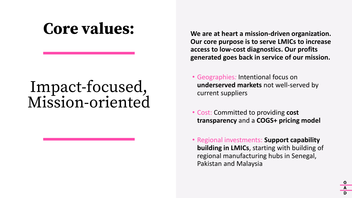### **Core values:**

## Impact-focused, Mission-oriented

**We are at heart a mission-driven organization. Our core purpose is to serve LMICs to increase access to low-cost diagnostics. Our profits generated goes back in service of our mission.**

- Geographies*:* Intentional focus on **underserved markets** not well-served by current suppliers
- Cost: Committed to providing **cost transparency** and a **COGS+ pricing model**
- Regional investments: **Support capability building in LMICs**, starting with building of regional manufacturing hubs in Senegal, Pakistan and Malaysia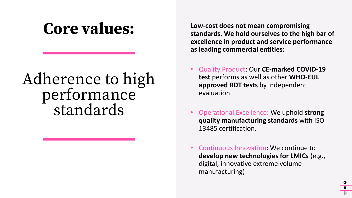## **Core values:**

### Adherence to high performance standards

**Low-cost does not mean compromising standards. We hold ourselves to the high bar of excellence in product and service performance as leading commercial entities:**

- Quality Product: Our **CE-marked COVID-19 test** performs as well as other **WHO-EUL approved RDT tests** by independent evaluation
- Operational Excellence: We uphold **strong quality manufacturing standards** with ISO 13485 certification.
- Continuous Innovation: We continue to **develop new technologies for LMICs** (e.g., digital, innovative extreme volume manufacturing)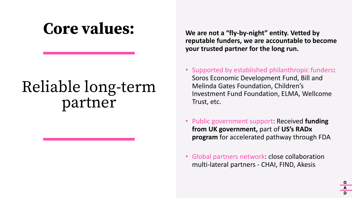## **Core values:**

## Reliable long-term partner

**We are not a "fly-by-night" entity. Vetted by reputable funders, we are accountable to become your trusted partner for the long run.** 

- Supported by established philanthropic funders: Soros Economic Development Fund, Bill and Melinda Gates Foundation, Children's Investment Fund Foundation, ELMA, Wellcome Trust, etc.
- Public government support: Received **funding from UK government,** part of **US's RADx program** for accelerated pathway through FDA
- Global partners network: close collaboration multi-lateral partners - CHAI, FIND, Akesis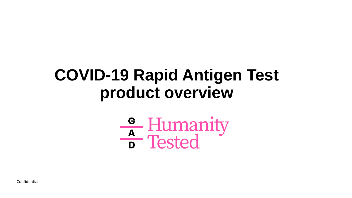## **COVID-19 Rapid Antigen Test product overview**



Confidential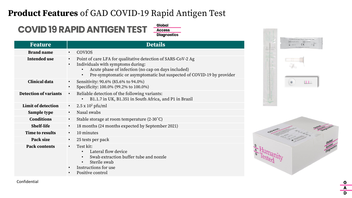#### **Product Features** of GAD COVID-19 Rapid Antigen Test

#### **COVID 19 RAPID ANTIGEN TEST**

Global **Access Diagnostics** 

| <b>Feature</b>               | <b>Details</b>                                                                                                                                                                                                                                                                       |  |  |  |  |  |
|------------------------------|--------------------------------------------------------------------------------------------------------------------------------------------------------------------------------------------------------------------------------------------------------------------------------------|--|--|--|--|--|
| <b>Brand name</b>            | COVIOS<br>$\bullet$                                                                                                                                                                                                                                                                  |  |  |  |  |  |
| <b>Intended use</b>          | Point of care LFA for qualitative detection of SARS-CoV-2 Ag<br>$\bullet$<br>Individuals with symptoms during:<br>$\bullet$<br>Acute phase of infection (no cap on days included)<br>$\bullet$<br>Pre-symptomatic or asymptomatic but suspected of COVID-19 by provider<br>$\bullet$ |  |  |  |  |  |
| <b>Clinical data</b>         | Sensitivity: 90.6% (85.6% to 94.0%)<br>Specificity: 100.0% (99.2% to 100.0%)                                                                                                                                                                                                         |  |  |  |  |  |
| <b>Detection of variants</b> | Reliable detection of the following variants:<br>$\bullet$<br>B1.1.7 in UK, B1.351 in South Africa, and P1 in Brazil                                                                                                                                                                 |  |  |  |  |  |
| <b>Limit of detection</b>    | $2.5 \times 10^2$ pfu/ml<br>$\bullet$                                                                                                                                                                                                                                                |  |  |  |  |  |
| Sample type                  | Nasal swabs<br>$\bullet$                                                                                                                                                                                                                                                             |  |  |  |  |  |
| <b>Conditions</b>            | Stable storage at room temperature (2-30°C)<br>$\bullet$                                                                                                                                                                                                                             |  |  |  |  |  |
| <b>Shelf-life</b>            | 18 months (24 months expected by September 2021)<br>$\bullet$                                                                                                                                                                                                                        |  |  |  |  |  |
| <b>Time to results</b>       | 10 minutes<br>$\bullet$                                                                                                                                                                                                                                                              |  |  |  |  |  |
| Pack size                    | 25 tests per pack<br>$\bullet$                                                                                                                                                                                                                                                       |  |  |  |  |  |
| <b>Pack contents</b>         | Test kit:<br>$\bullet$<br>Lateral flow device<br>$\bullet$<br>Swab extraction buffer tube and nozzle<br>$\bullet$<br>Sterile swab<br>Instructions for use<br>$\bullet$<br>Positive control<br>$\bullet$                                                                              |  |  |  |  |  |

LOT CALFD-107-3 REF 1181210  $C \in$  $\bullet$  $III$ 

COVID-19 Antigen Rapid Diagnostic Tes

A D

Confidential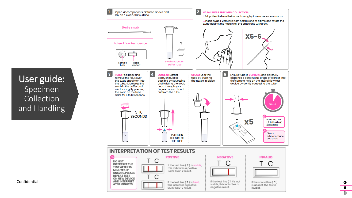#### User guide: Specimen Collection and Handling



Confidential

G A D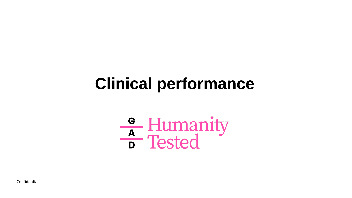# **Clinical performance**

# **E** Humanity<br> **F** Tested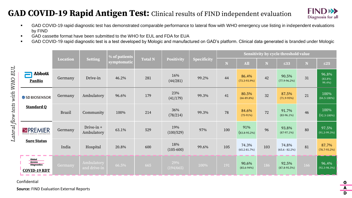#### **GAD COVID-19 Rapid Antigen Test:** Clinical results of FIND independent evaluation



- GAD COVID-19 rapid diagnostic test has demonstrated comparable performance to lateral flow with WHO emergency use listing in independent evaluations by FIND
- GAD cassette format have been submitted to the WHO for EUL and FDA for EUA
- GAD COVID-19 rapid diagnostic test is a test developed by Mologic and manufactured on GAD's platform. Clinical data generated is branded under Mologic

|                                                                      |               |                             | % of patients |                |                    |                    |                         |                            | Sensitivity by cycle threshold value |                            |             |                                |
|----------------------------------------------------------------------|---------------|-----------------------------|---------------|----------------|--------------------|--------------------|-------------------------|----------------------------|--------------------------------------|----------------------------|-------------|--------------------------------|
|                                                                      | Location      | <b>Setting</b>              | symptomatic   | <b>Total N</b> | <b>Positivity</b>  | <b>Specificity</b> | $\overline{\mathbf{N}}$ | <b>All</b>                 | $\overline{\mathbf{N}}$              | $\leq 33$                  | $\mathbf N$ | $\leq$ 25                      |
| <b>Abbott</b><br><b>PanBio</b>                                       | Germany       | Drive-in                    | 46.2%         | 281            | 16%<br>(44/281)    | 99.2%              | 44                      | 86.4%<br>$(73.3 - 93.9\%)$ | 42                                   | 90.5%<br>$(77.9 - 96.2\%)$ | 31          | 96.8%<br>$(83.8\% -$<br>99.4%) |
| SD BIOSENSOR                                                         | Germany       | Ambulatory                  | 96.6%         | 179            | 23%<br>(41/179)    | 99.3%              | 41                      | 80.5%<br>$(66-89.8%)$      | 32                                   | 87.5%<br>$(71.9 - 95%)$    | 21          | 100%<br>$(84.5 - 100\%)$       |
| <b>Standard Q</b>                                                    | <b>Brazil</b> | Community                   | 100%          | 214            | 36%<br>(78/214)    | 99.3%              | 78                      | 84.6%<br>$(75-91%)$        | 72                                   | 91.7%<br>$(83-96.1\%)$     | 46          | 100%<br>$(92.3 - 100\%)$       |
| <b>EPREMIER</b>                                                      | Germany       | $Dirive-in +$<br>Ambulatory | 63.1%         | 529            | 19%<br>(100/529)   | 97%                | 100                     | 91%<br>$(83.8 - 95.2\%)$   | 96                                   | 93.8%<br>$(87-97.1\%)$     | 80          | 97.5%<br>$(91.3 - 99.3%)$      |
| <b>Sure Status</b>                                                   | India         | Hospital                    | 20.8%         | 600            | 18%<br>$(105-600)$ | 99.6%              | 105                     | 74.3%<br>$(65.2 - 81.7%)$  | 103                                  | 74.8%<br>$(65.6 - 82.2\%)$ | 81          | 87.7%<br>$(78.7 - 93.2\%)$     |
| Global<br><b>Access</b><br><b>Diagnostics</b><br><b>COVID-19 RDT</b> | Germany       | Ambulatory<br>and drive-in  | 66.5%         | 665            | 29%<br>(194/665)   | 100%               | 191                     | 90.6%<br>$(85.6 - 94%)$    | 186                                  | 92.5%<br>$(87.8 - 95.5%)$  | 166         | 96.4%<br>$(92.3 - 98.3%)$      |

Confidential

**Source:** FIND Evaluation External Reports

A D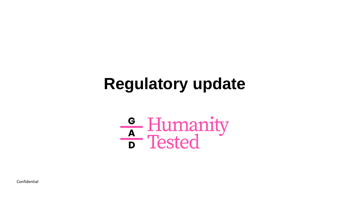# **Regulatory update**

# **E** Humanity